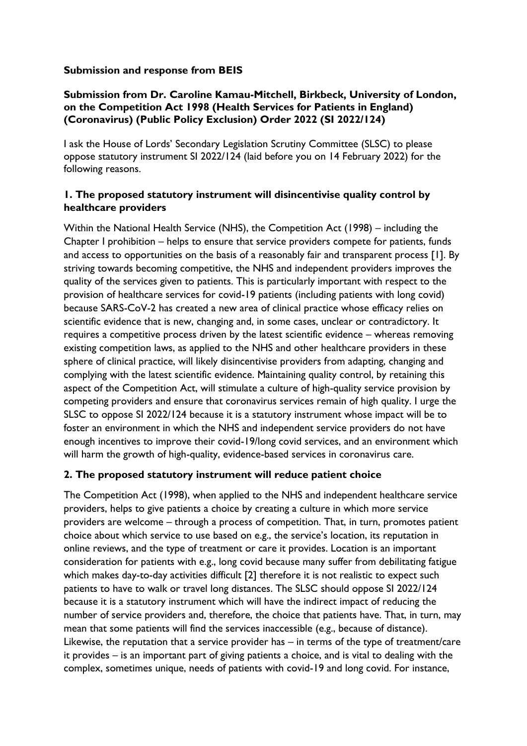## **Submission and response from BEIS**

## **Submission from Dr. Caroline Kamau-Mitchell, Birkbeck, University of London, on the Competition Act 1998 (Health Services for Patients in England) (Coronavirus) (Public Policy Exclusion) Order 2022 (SI 2022/124)**

I ask the House of Lords' Secondary Legislation Scrutiny Committee (SLSC) to please oppose statutory instrument SI 2022/124 (laid before you on 14 February 2022) for the following reasons.

## **1. The proposed statutory instrument will disincentivise quality control by healthcare providers**

Within the National Health Service (NHS), the Competition Act (1998) – including the Chapter I prohibition – helps to ensure that service providers compete for patients, funds and access to opportunities on the basis of a reasonably fair and transparent process [1]. By striving towards becoming competitive, the NHS and independent providers improves the quality of the services given to patients. This is particularly important with respect to the provision of healthcare services for covid-19 patients (including patients with long covid) because SARS-CoV-2 has created a new area of clinical practice whose efficacy relies on scientific evidence that is new, changing and, in some cases, unclear or contradictory. It requires a competitive process driven by the latest scientific evidence – whereas removing existing competition laws, as applied to the NHS and other healthcare providers in these sphere of clinical practice, will likely disincentivise providers from adapting, changing and complying with the latest scientific evidence. Maintaining quality control, by retaining this aspect of the Competition Act, will stimulate a culture of high-quality service provision by competing providers and ensure that coronavirus services remain of high quality. I urge the SLSC to oppose SI 2022/124 because it is a statutory instrument whose impact will be to foster an environment in which the NHS and independent service providers do not have enough incentives to improve their covid-19/long covid services, and an environment which will harm the growth of high-quality, evidence-based services in coronavirus care.

## **2. The proposed statutory instrument will reduce patient choice**

The Competition Act (1998), when applied to the NHS and independent healthcare service providers, helps to give patients a choice by creating a culture in which more service providers are welcome – through a process of competition. That, in turn, promotes patient choice about which service to use based on e.g., the service's location, its reputation in online reviews, and the type of treatment or care it provides. Location is an important consideration for patients with e.g., long covid because many suffer from debilitating fatigue which makes day-to-day activities difficult [2] therefore it is not realistic to expect such patients to have to walk or travel long distances. The SLSC should oppose SI 2022/124 because it is a statutory instrument which will have the indirect impact of reducing the number of service providers and, therefore, the choice that patients have. That, in turn, may mean that some patients will find the services inaccessible (e.g., because of distance). Likewise, the reputation that a service provider has – in terms of the type of treatment/care it provides – is an important part of giving patients a choice, and is vital to dealing with the complex, sometimes unique, needs of patients with covid-19 and long covid. For instance,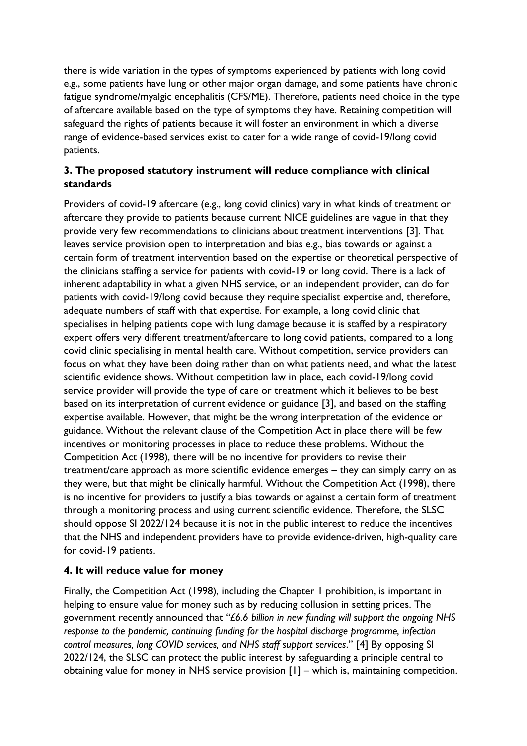there is wide variation in the types of symptoms experienced by patients with long covid e.g., some patients have lung or other major organ damage, and some patients have chronic fatigue syndrome/myalgic encephalitis (CFS/ME). Therefore, patients need choice in the type of aftercare available based on the type of symptoms they have. Retaining competition will safeguard the rights of patients because it will foster an environment in which a diverse range of evidence-based services exist to cater for a wide range of covid-19/long covid patients.

# **3. The proposed statutory instrument will reduce compliance with clinical standards**

Providers of covid-19 aftercare (e.g., long covid clinics) vary in what kinds of treatment or aftercare they provide to patients because current NICE guidelines are vague in that they provide very few recommendations to clinicians about treatment interventions [3]. That leaves service provision open to interpretation and bias e.g., bias towards or against a certain form of treatment intervention based on the expertise or theoretical perspective of the clinicians staffing a service for patients with covid-19 or long covid. There is a lack of inherent adaptability in what a given NHS service, or an independent provider, can do for patients with covid-19/long covid because they require specialist expertise and, therefore, adequate numbers of staff with that expertise. For example, a long covid clinic that specialises in helping patients cope with lung damage because it is staffed by a respiratory expert offers very different treatment/aftercare to long covid patients, compared to a long covid clinic specialising in mental health care. Without competition, service providers can focus on what they have been doing rather than on what patients need, and what the latest scientific evidence shows. Without competition law in place, each covid-19/long covid service provider will provide the type of care or treatment which it believes to be best based on its interpretation of current evidence or guidance [3], and based on the staffing expertise available. However, that might be the wrong interpretation of the evidence or guidance. Without the relevant clause of the Competition Act in place there will be few incentives or monitoring processes in place to reduce these problems. Without the Competition Act (1998), there will be no incentive for providers to revise their treatment/care approach as more scientific evidence emerges – they can simply carry on as they were, but that might be clinically harmful. Without the Competition Act (1998), there is no incentive for providers to justify a bias towards or against a certain form of treatment through a monitoring process and using current scientific evidence. Therefore, the SLSC should oppose SI 2022/124 because it is not in the public interest to reduce the incentives that the NHS and independent providers have to provide evidence-driven, high-quality care for covid-19 patients.

# **4. It will reduce value for money**

Finally, the Competition Act (1998), including the Chapter 1 prohibition, is important in helping to ensure value for money such as by reducing collusion in setting prices. The government recently announced that *"£6.6 billion in new funding will support the ongoing NHS response to the pandemic, continuing funding for the hospital discharge programme, infection control measures, long COVID services, and NHS staff support services*." [4] By opposing SI 2022/124, the SLSC can protect the public interest by safeguarding a principle central to obtaining value for money in NHS service provision [1] – which is, maintaining competition.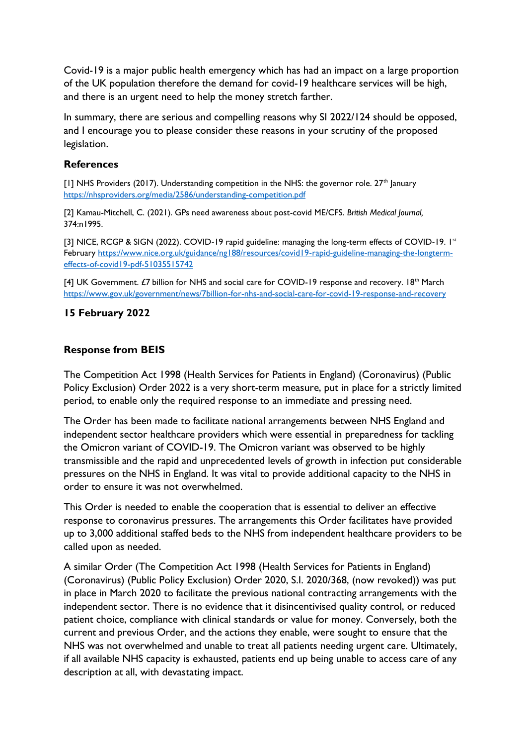Covid-19 is a major public health emergency which has had an impact on a large proportion of the UK population therefore the demand for covid-19 healthcare services will be high, and there is an urgent need to help the money stretch farther.

In summary, there are serious and compelling reasons why SI 2022/124 should be opposed, and I encourage you to please consider these reasons in your scrutiny of the proposed legislation.

#### **References**

 $[1]$  NHS Providers (2017). Understanding competition in the NHS: the governor role.  $27<sup>th</sup>$  January <https://nhsproviders.org/media/2586/understanding-competition.pdf>

[2] Kamau-Mitchell, C. (2021). GPs need awareness about post-covid ME/CFS. *British Medical Journal,*  374:n1995.

[3] NICE, RCGP & SIGN (2022). COVID-19 rapid guideline: managing the long-term effects of COVID-19. 1st February [https://www.nice.org.uk/guidance/ng188/resources/covid19-rapid-guideline-managing-the-longterm](https://www.nice.org.uk/guidance/ng188/resources/covid19-rapid-guideline-managing-the-longterm-effects-of-covid19-pdf-51035515742)[effects-of-covid19-pdf-51035515742](https://www.nice.org.uk/guidance/ng188/resources/covid19-rapid-guideline-managing-the-longterm-effects-of-covid19-pdf-51035515742)

[4] UK Government. £7 billion for NHS and social care for COVID-19 response and recovery. 18<sup>th</sup> March <https://www.gov.uk/government/news/7billion-for-nhs-and-social-care-for-covid-19-response-and-recovery>

#### **15 February 2022**

#### **Response from BEIS**

The Competition Act 1998 (Health Services for Patients in England) (Coronavirus) (Public Policy Exclusion) Order 2022 is a very short-term measure, put in place for a strictly limited period, to enable only the required response to an immediate and pressing need.

The Order has been made to facilitate national arrangements between NHS England and independent sector healthcare providers which were essential in preparedness for tackling the Omicron variant of COVID-19. The Omicron variant was observed to be highly transmissible and the rapid and unprecedented levels of growth in infection put considerable pressures on the NHS in England. It was vital to provide additional capacity to the NHS in order to ensure it was not overwhelmed.

This Order is needed to enable the cooperation that is essential to deliver an effective response to coronavirus pressures. The arrangements this Order facilitates have provided up to 3,000 additional staffed beds to the NHS from independent healthcare providers to be called upon as needed.

A similar Order (The Competition Act 1998 (Health Services for Patients in England) (Coronavirus) (Public Policy Exclusion) Order 2020, S.I. 2020/368, (now revoked)) was put in place in March 2020 to facilitate the previous national contracting arrangements with the independent sector. There is no evidence that it disincentivised quality control, or reduced patient choice, compliance with clinical standards or value for money. Conversely, both the current and previous Order, and the actions they enable, were sought to ensure that the NHS was not overwhelmed and unable to treat all patients needing urgent care. Ultimately, if all available NHS capacity is exhausted, patients end up being unable to access care of any description at all, with devastating impact.